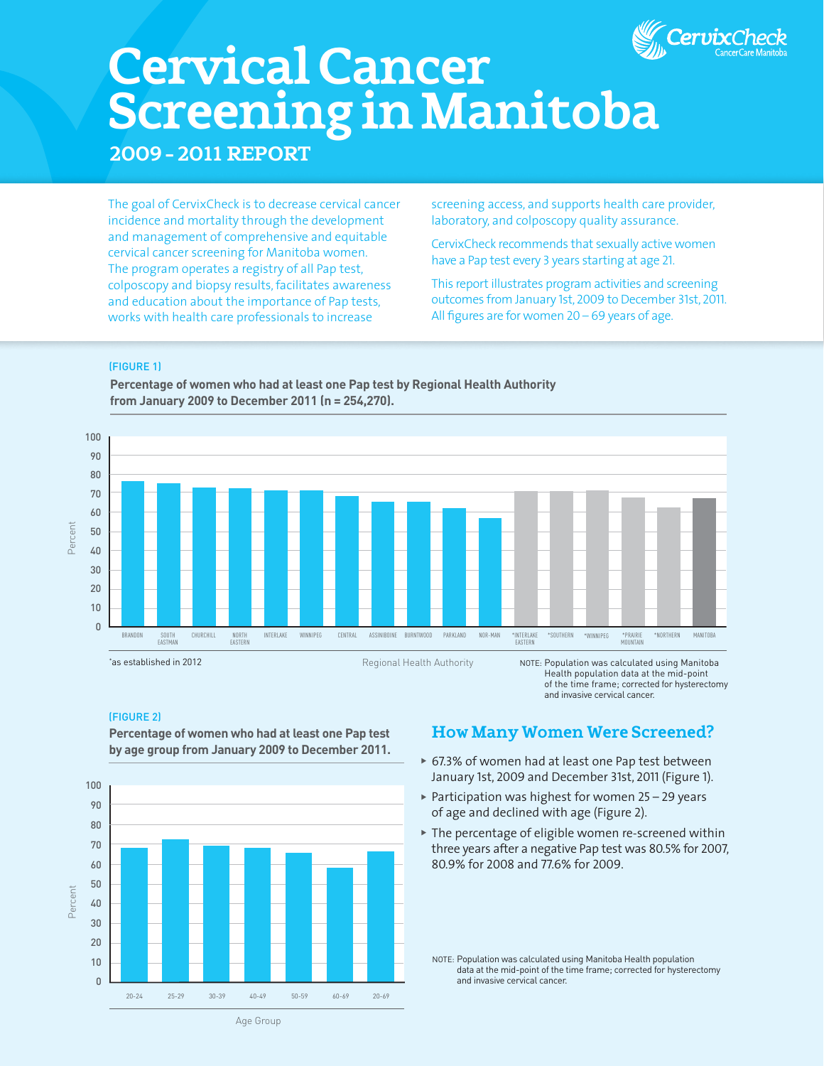

# **CervicalCancer ScreeninginManitoba**

**2009 – 2011 Report**

The goal of CervixCheck is to decrease cervical cancer incidence and mortality through the development and management of comprehensive and equitable cervical cancer screening for Manitoba women. The program operates a registry of all Pap test, colposcopy and biopsy results,facilitates awareness and education about the importance of Pap tests, works with health care professionals to increase

screening access, and supports health care provider, laboratory, and colposcopy quality assurance.

CervixCheck recommends that sexually active women have a Pap test every 3 years starting at age 21.

This report illustrates program activities and screening outcomes from January 1st, 2009 to December 31st, 2011. All figures are for women 20 – 69 years of age.

#### (FIGURE 1)



**Percentage of women who had at least one Pap test by Regional Health Authority from January 2009 to December 2011 (n = 254,270).**

Regional Health Authority

NOTE: Population was calculated using Manitoba Health population data at the mid-point of the time frame; corrected for hysterectomy and invasive cervical cancer.

### (FIGURE 2)

\* as established in 2012



## **Percentage of women who had at least one Pap test by age group from January 2009 to December 2011.**

## **HowManyWomenWereScreened?**

- ▶ 67.3% of women had at least one Pap test between January 1st, 2009 and December 31st, 2011 (Figure 1).
- $\triangleright$  Participation was highest for women 25 29 years of age and declined with age (Figure 2).
- $\triangleright$  The percentage of eligible women re-screened within three years after a negative Pap test was 80.5% for 2007, 80.9% for 2008 and 77.6% for 2009.

NOTE: Population was calculated using Manitoba Health population data at the mid-point of the time frame; corrected for hysterectomy and invasive cervical cancer.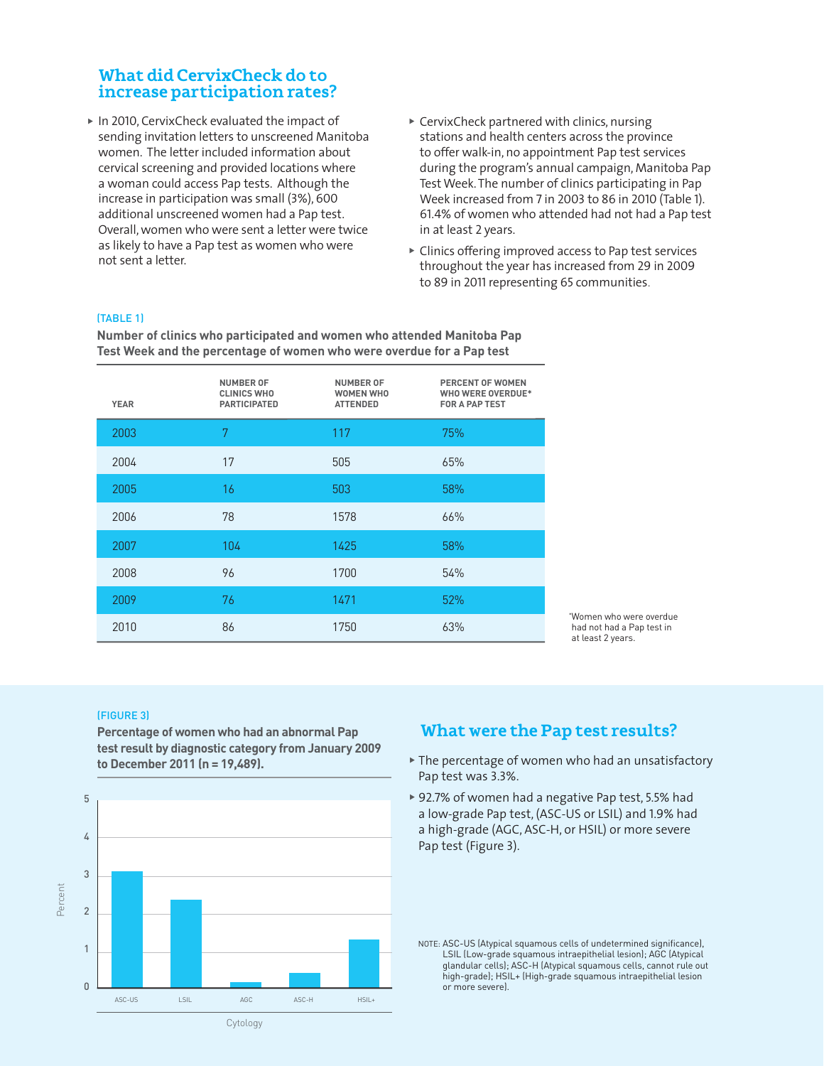## **What did CervixCheck do to increaseparticipationrates?**

- $\triangleright$  In 2010, CervixCheck evaluated the impact of sending invitation letters to unscreened Manitoba women. The letter included information about cervical screening and provided locations where a woman could access Pap tests. Although the increase in participation was small (3%), 600 additional unscreened women had a Pap test. Overall, women who were sent a letter were twice as likely to have a Pap test as women who were not sent a letter.
- $\triangleright$  CervixCheck partnered with clinics, nursing stations and health centers across the province to offer walk-in, no appointment Pap test services during the program's annual campaign, Manitoba Pap Test Week. The number of clinics participating in Pap Week increased from 7 in 2003 to 86 in 2010 (Table 1). 61.4% of women who attended had not had a Pap test in at least 2 years.
- $\triangleright$  Clinics offering improved access to Pap test services throughout the year has increased from 29 in 2009 to 89 in 2011 representing 65 communities.

#### (TABLE 1)

**Number of clinics who participated and women who attended Manitoba Pap Test Week and the percentage of women who were overdue for a Pap test**

| <b>YEAR</b> | <b>NUMBER OF</b><br><b>CLINICS WHO</b><br><b>PARTICIPATED</b> | <b>NUMBER OF</b><br><b>WOMEN WHO</b><br><b>ATTENDED</b> | PERCENT OF WOMEN<br><b>WHO WERE OVERDUE*</b><br>FOR A PAP TEST |
|-------------|---------------------------------------------------------------|---------------------------------------------------------|----------------------------------------------------------------|
| 2003        | 7                                                             | 117                                                     | 75%                                                            |
| 2004        | 17                                                            | 505                                                     | 65%                                                            |
| 2005        | 16                                                            | 503                                                     | 58%                                                            |
| 2006        | 78                                                            | 1578                                                    | 66%                                                            |
| 2007        | 104                                                           | 1425                                                    | 58%                                                            |
| 2008        | 96                                                            | 1700                                                    | 54%                                                            |
| 2009        | 76                                                            | 1471                                                    | 52%                                                            |
| 2010        | 86                                                            | 1750                                                    | 63%                                                            |

\* Women who were overdue had not had a Pap test in at least 2 years.

#### (FIGURE 3)

**Percentage of women who had an abnormal Pap test result by diagnostic category from January 2009 to December 2011 (n = 19,489).** 



## **What were the Pap test results?**

- $\blacktriangleright$  The percentage of women who had an unsatisfactory Pap test was 3.3%.
- ▶ 92.7% of women had a negative Pap test, 5.5% had a low-grade Pap test, (ASC-US or LSIL) and 1.9% had a high-grade (AGC, ASC-H, or HSIL) or more severe Pap test (Figure 3).

NOTE: ASC-US (Atypical squamous cells of undetermined significance), LSIL (Low-grade squamous intraepithelial lesion); AGC (Atypical glandular cells); ASC-H (Atypical squamous cells, cannot rule out high-grade); HSIL+ (High-grade squamous intraepithelial lesion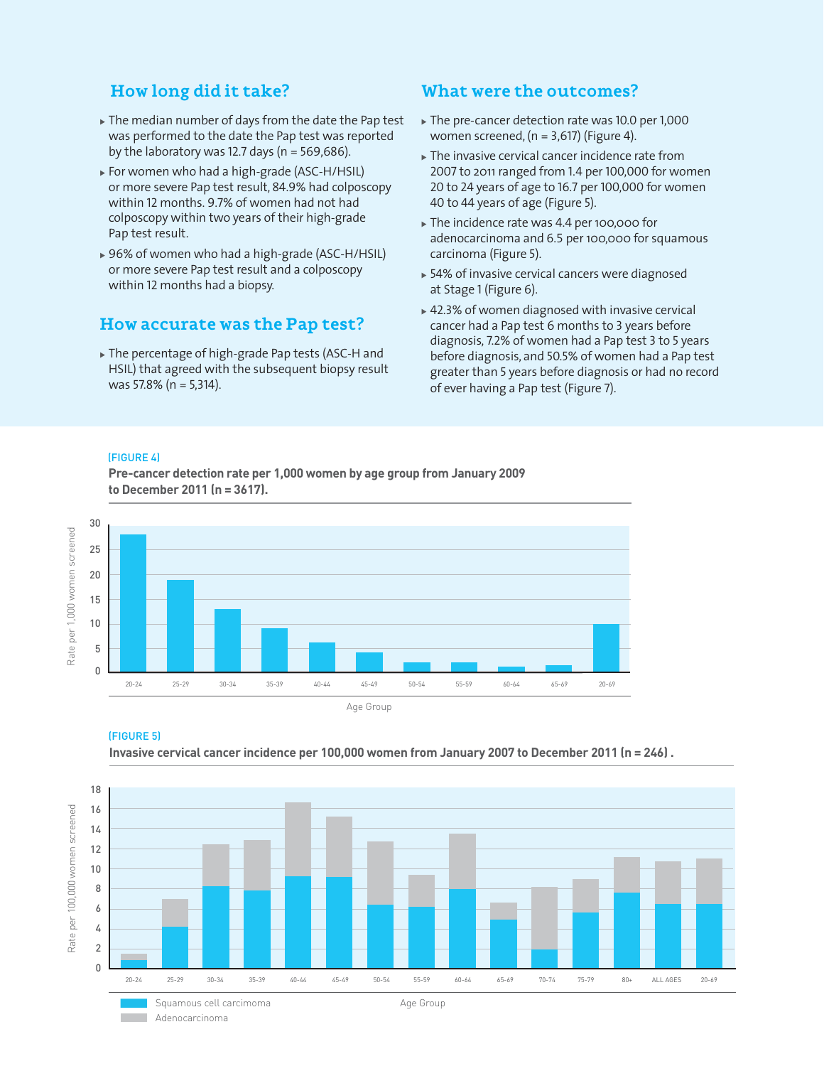## **How long did it take?**

- $\triangleright$  The median number of days from the date the Pap test was performed to the date the Pap test was reported by the laboratory was 12.7 days ( $n = 569,686$ ).
- ► For women who had a high-grade (ASC-H/HSIL) or more severe Pap test result, 84.9% had colposcopy within 12 months. 9.7% of women had not had colposcopy within two years of their high-grade Pap test result.
- ▶ 96% of women who had a high-grade (ASC-H/HSIL) or more severe Pap test result and a colposcopy within 12 months had a biopsy.

## **How accurate was the Pap test?**

 $\triangleright$  The percentage of high-grade Pap tests (ASC-H and HSIL) that agreed with the subsequent biopsy result was 57.8% (n = 5,314).

## **What were the outcomes?**

- The pre-cancer detection rate was 10.0 per 1,000 women screened, ( $n = 3,617$ ) (Figure 4).
- $\blacktriangleright$  The invasive cervical cancer incidence rate from 2007 to 2011 ranged from 1.4 per 100,000 for women 20 to 24 years of age to 16.7 per 100,000 for women 40 to 44 years of age (Figure 5).
- The incidence rate was 4.4 per 100,000 for adenocarcinoma and 6.5 per 100,000 for squamous carcinoma (Figure 5).
- $\triangleright$  54% of invasive cervical cancers were diagnosed at Stage 1 (Figure 6).
- $*$  42.3% of women diagnosed with invasive cervical cancer had a Pap test 6 months to 3 years before diagnosis, 7.2% of women had a Pap test 3 to 5 years before diagnosis, and 50.5% of women had a Pap test greater than 5 years before diagnosis or had no record of ever having a Pap test (Figure 7).

#### (FIGURE 4)

**Pre-cancer detection rate per 1,000 women by age group from January 2009 to December 2011 (n = 3617).** 



#### (FIGURE 5)

**Invasive cervical cancer incidence per 100,000 women from January 2007 to December 2011 (n = 246) .**